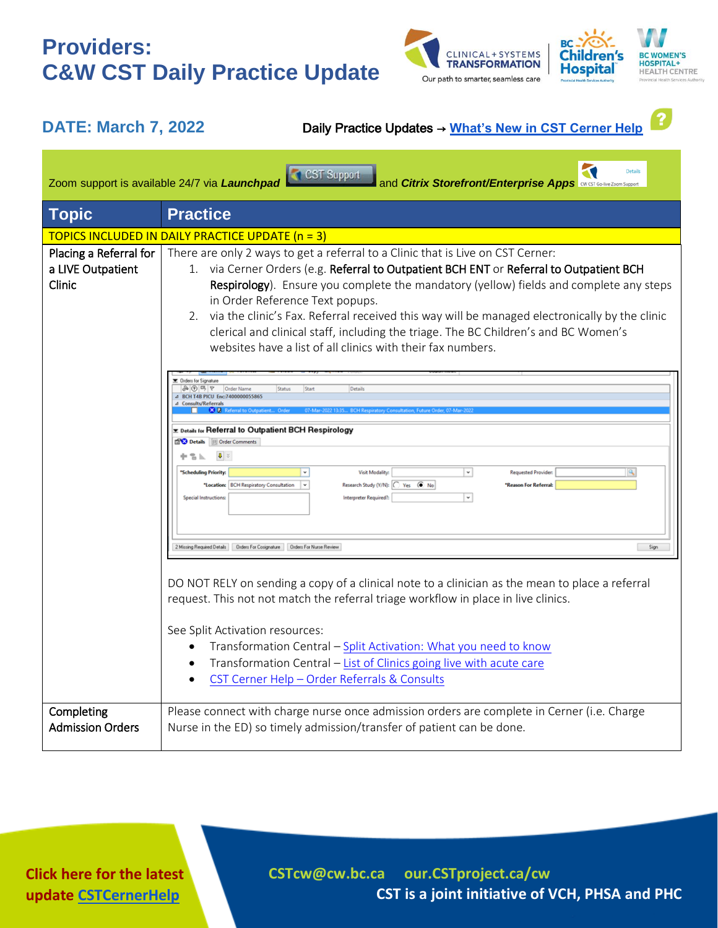## **Providers: C&W CST Daily Practice Update**





**DATE: March 7, 2022** Daily Practice Updates → **[What's New in CST Cerner Help](http://cstcernerhelp.healthcarebc.ca/#t=Whats_New%2FWhat_s_New.htm&rhsearch=favourites%20printer&rhsyns=%20)**

| Details<br>CST Support<br>Zoom support is available 24/7 via Launchpad<br>and Citrix Storefront/Enterprise Apps <b>CWISS CONDER</b> 200m Support |                                                                                                                                                                                                                                                                                                                                                                                                                                                                                                                                                                   |
|--------------------------------------------------------------------------------------------------------------------------------------------------|-------------------------------------------------------------------------------------------------------------------------------------------------------------------------------------------------------------------------------------------------------------------------------------------------------------------------------------------------------------------------------------------------------------------------------------------------------------------------------------------------------------------------------------------------------------------|
| <b>Topic</b>                                                                                                                                     | <b>Practice</b>                                                                                                                                                                                                                                                                                                                                                                                                                                                                                                                                                   |
| TOPICS INCLUDED IN DAILY PRACTICE UPDATE (n = 3)                                                                                                 |                                                                                                                                                                                                                                                                                                                                                                                                                                                                                                                                                                   |
| Placing a Referral for<br>a LIVE Outpatient<br>Clinic                                                                                            | There are only 2 ways to get a referral to a Clinic that is Live on CST Cerner:<br>1. via Cerner Orders (e.g. Referral to Outpatient BCH ENT or Referral to Outpatient BCH<br>Respirology). Ensure you complete the mandatory (yellow) fields and complete any steps<br>in Order Reference Text popups.<br>2. via the clinic's Fax. Referral received this way will be managed electronically by the clinic<br>clerical and clinical staff, including the triage. The BC Children's and BC Women's<br>websites have a list of all clinics with their fax numbers. |
|                                                                                                                                                  | <b>T</b> Orders for Signature<br>ふの号ヤ Order Name<br>Details<br>Start<br><b>Status</b><br>BCH T4B PICU Enc:7400000055865<br>sults/Referrals<br>E Details for Referral to Outpatient BCH Respirology<br>Details   Order Comments<br>$\downarrow \downarrow \uparrow$<br>≞≞⊾<br>$\backsim$<br>'Scheduling Priority:<br><b>Visit Modality:</b><br><b>Requested Provider</b><br>*Location: BCH Respiratory Consultation<br>Research Study (Y/N):   Yes ( No<br>*Reason For Referral:<br>l v<br>$^\star$<br><b>Special Instructions:</b><br>Interpreter Required?:      |
|                                                                                                                                                  | Sign<br>DO NOT RELY on sending a copy of a clinical note to a clinician as the mean to place a referral<br>request. This not not match the referral triage workflow in place in live clinics.<br>See Split Activation resources:<br>Transformation Central - Split Activation: What you need to know<br>$\bullet$<br>Transformation Central - List of Clinics going live with acute care<br>CST Cerner Help - Order Referrals & Consults                                                                                                                          |
| Completing<br><b>Admission Orders</b>                                                                                                            | Please connect with charge nurse once admission orders are complete in Cerner (i.e. Charge<br>Nurse in the ED) so timely admission/transfer of patient can be done.                                                                                                                                                                                                                                                                                                                                                                                               |

**Click here for the latest update [CSTCernerHelp](http://cstcernerhelp.healthcarebc.ca/#t=Whats_New%2FWhat_s_New.htm&rhsearch=favourites%20printer&rhsyns=%20)**

**[CSTcw@cw.bc.ca](mailto:CSTcw@cw.bc.ca) our.CSTproject.ca/cw CST is a joint initiative of VCH, PHSA and PHC**